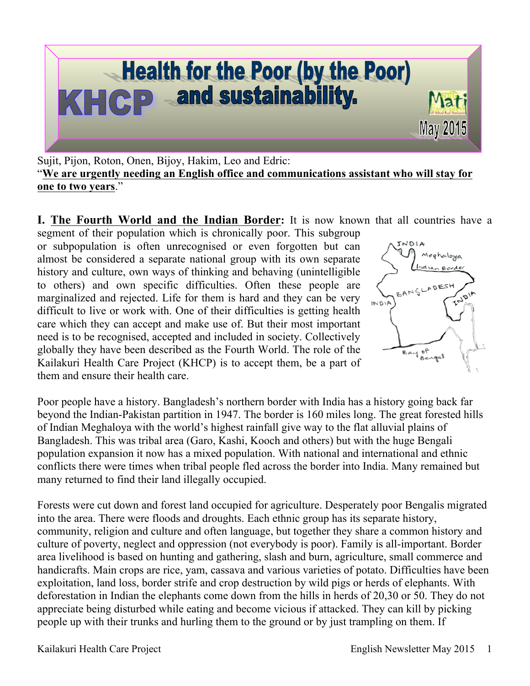

Sujit, Pijon, Roton, Onen, Bijoy, Hakim, Leo and Edric: "**We are urgently needing an English office and communications assistant who will stay for one to two years**."

**I. The Fourth World and the Indian Border:** It is now known that all countries have a

segment of their population which is chronically poor. This subgroup or subpopulation is often unrecognised or even forgotten but can almost be considered a separate national group with its own separate history and culture, own ways of thinking and behaving (unintelligible to others) and own specific difficulties. Often these people are marginalized and rejected. Life for them is hard and they can be very difficult to live or work with. One of their difficulties is getting health care which they can accept and make use of. But their most important need is to be recognised, accepted and included in society. Collectively globally they have been described as the Fourth World. The role of the Kailakuri Health Care Project (KHCP) is to accept them, be a part of them and ensure their health care.



Poor people have a history. Bangladesh's northern border with India has a history going back far beyond the Indian-Pakistan partition in 1947. The border is 160 miles long. The great forested hills of Indian Meghaloya with the world's highest rainfall give way to the flat alluvial plains of Bangladesh. This was tribal area (Garo, Kashi, Kooch and others) but with the huge Bengali population expansion it now has a mixed population. With national and international and ethnic conflicts there were times when tribal people fled across the border into India. Many remained but many returned to find their land illegally occupied.

Forests were cut down and forest land occupied for agriculture. Desperately poor Bengalis migrated into the area. There were floods and droughts. Each ethnic group has its separate history, community, religion and culture and often language, but together they share a common history and culture of poverty, neglect and oppression (not everybody is poor). Family is all-important. Border area livelihood is based on hunting and gathering, slash and burn, agriculture, small commerce and handicrafts. Main crops are rice, yam, cassava and various varieties of potato. Difficulties have been exploitation, land loss, border strife and crop destruction by wild pigs or herds of elephants. With deforestation in Indian the elephants come down from the hills in herds of 20,30 or 50. They do not appreciate being disturbed while eating and become vicious if attacked. They can kill by picking people up with their trunks and hurling them to the ground or by just trampling on them. If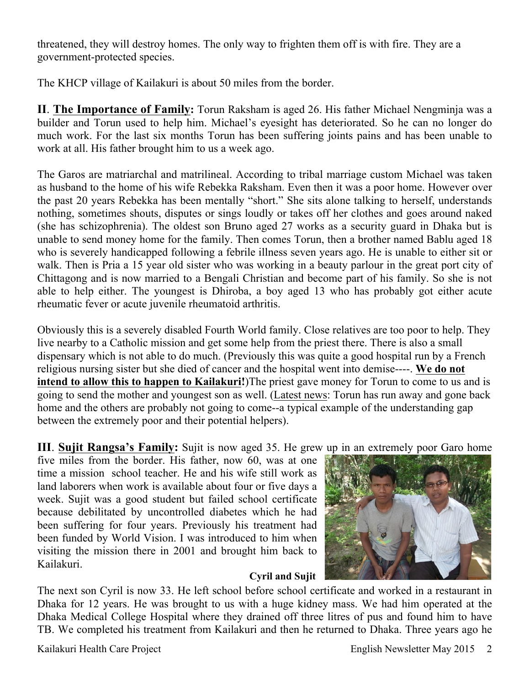threatened, they will destroy homes. The only way to frighten them off is with fire. They are a government-protected species.

The KHCP village of Kailakuri is about 50 miles from the border.

**II**. **The Importance of Family:** Torun Raksham is aged 26. His father Michael Nengminja was a builder and Torun used to help him. Michael's eyesight has deteriorated. So he can no longer do much work. For the last six months Torun has been suffering joints pains and has been unable to work at all. His father brought him to us a week ago.

The Garos are matriarchal and matrilineal. According to tribal marriage custom Michael was taken as husband to the home of his wife Rebekka Raksham. Even then it was a poor home. However over the past 20 years Rebekka has been mentally "short." She sits alone talking to herself, understands nothing, sometimes shouts, disputes or sings loudly or takes off her clothes and goes around naked (she has schizophrenia). The oldest son Bruno aged 27 works as a security guard in Dhaka but is unable to send money home for the family. Then comes Torun, then a brother named Bablu aged 18 who is severely handicapped following a febrile illness seven years ago. He is unable to either sit or walk. Then is Pria a 15 year old sister who was working in a beauty parlour in the great port city of Chittagong and is now married to a Bengali Christian and become part of his family. So she is not able to help either. The youngest is Dhiroba, a boy aged 13 who has probably got either acute rheumatic fever or acute juvenile rheumatoid arthritis.

Obviously this is a severely disabled Fourth World family. Close relatives are too poor to help. They live nearby to a Catholic mission and get some help from the priest there. There is also a small dispensary which is not able to do much. (Previously this was quite a good hospital run by a French religious nursing sister but she died of cancer and the hospital went into demise----. **We do not intend to allow this to happen to Kailakuri!**)The priest gave money for Torun to come to us and is going to send the mother and youngest son as well. (Latest news: Torun has run away and gone back home and the others are probably not going to come--a typical example of the understanding gap between the extremely poor and their potential helpers).

**III**. **Sujit Rangsa's Family:** Sujit is now aged 35. He grew up in an extremely poor Garo home

five miles from the border. His father, now 60, was at one time a mission school teacher. He and his wife still work as land laborers when work is available about four or five days a week. Sujit was a good student but failed school certificate because debilitated by uncontrolled diabetes which he had been suffering for four years. Previously his treatment had been funded by World Vision. I was introduced to him when visiting the mission there in 2001 and brought him back to Kailakuri. **Cyril and Sujit**



The next son Cyril is now 33. He left school before school certificate and worked in a restaurant in Dhaka for 12 years. He was brought to us with a huge kidney mass. We had him operated at the Dhaka Medical College Hospital where they drained off three litres of pus and found him to have TB. We completed his treatment from Kailakuri and then he returned to Dhaka. Three years ago he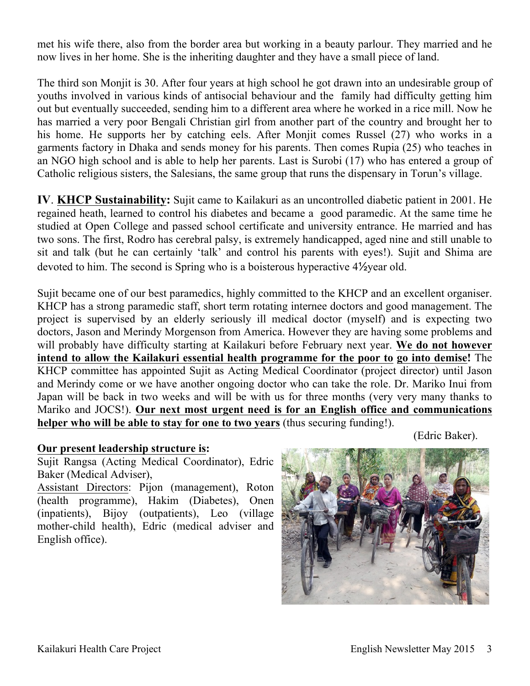met his wife there, also from the border area but working in a beauty parlour. They married and he now lives in her home. She is the inheriting daughter and they have a small piece of land.

The third son Monjit is 30. After four years at high school he got drawn into an undesirable group of youths involved in various kinds of antisocial behaviour and the family had difficulty getting him out but eventually succeeded, sending him to a different area where he worked in a rice mill. Now he has married a very poor Bengali Christian girl from another part of the country and brought her to his home. He supports her by catching eels. After Monjit comes Russel (27) who works in a garments factory in Dhaka and sends money for his parents. Then comes Rupia (25) who teaches in an NGO high school and is able to help her parents. Last is Surobi (17) who has entered a group of Catholic religious sisters, the Salesians, the same group that runs the dispensary in Torun's village.

**IV**. **KHCP Sustainability:** Sujit came to Kailakuri as an uncontrolled diabetic patient in 2001. He regained heath, learned to control his diabetes and became a good paramedic. At the same time he studied at Open College and passed school certificate and university entrance. He married and has two sons. The first, Rodro has cerebral palsy, is extremely handicapped, aged nine and still unable to sit and talk (but he can certainly 'talk' and control his parents with eyes!). Sujit and Shima are devoted to him. The second is Spring who is a boisterous hyperactive 4½year old.

Sujit became one of our best paramedics, highly committed to the KHCP and an excellent organiser. KHCP has a strong paramedic staff, short term rotating internee doctors and good management. The project is supervised by an elderly seriously ill medical doctor (myself) and is expecting two doctors, Jason and Merindy Morgenson from America. However they are having some problems and will probably have difficulty starting at Kailakuri before February next year. **We do not however intend to allow the Kailakuri essential health programme for the poor to go into demise!** The KHCP committee has appointed Sujit as Acting Medical Coordinator (project director) until Jason and Merindy come or we have another ongoing doctor who can take the role. Dr. Mariko Inui from Japan will be back in two weeks and will be with us for three months (very very many thanks to Mariko and JOCS!). **Our next most urgent need is for an English office and communications helper who will be able to stay for one to two years** (thus securing funding!).

(Edric Baker).

## **Our present leadership structure is:**

Sujit Rangsa (Acting Medical Coordinator), Edric Baker (Medical Adviser),

Assistant Directors: Pijon (management), Roton (health programme), Hakim (Diabetes), Onen (inpatients), Bijoy (outpatients), Leo (village mother-child health), Edric (medical adviser and English office).